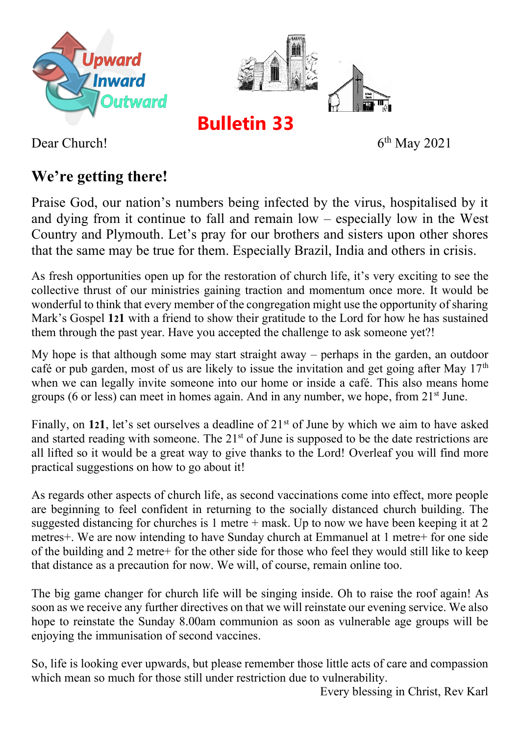



**Bulletin 33**

 $6<sup>th</sup>$  May 2021

Dear Church!

## **We're getting there!**

Praise God, our nation's numbers being infected by the virus, hospitalised by it and dying from it continue to fall and remain low – especially low in the West Country and Plymouth. Let's pray for our brothers and sisters upon other shores that the same may be true for them. Especially Brazil, India and others in crisis.

As fresh opportunities open up for the restoration of church life, it's very exciting to see the collective thrust of our ministries gaining traction and momentum once more. It would be wonderful to think that every member of the congregation might use the opportunity of sharing Mark's Gospel **121** with a friend to show their gratitude to the Lord for how he has sustained them through the past year. Have you accepted the challenge to ask someone yet?!

My hope is that although some may start straight away – perhaps in the garden, an outdoor café or pub garden, most of us are likely to issue the invitation and get going after May  $17<sup>th</sup>$ when we can legally invite someone into our home or inside a café. This also means home groups (6 or less) can meet in homes again. And in any number, we hope, from 21st June.

Finally, on **121**, let's set ourselves a deadline of 21st of June by which we aim to have asked and started reading with someone. The 21<sup>st</sup> of June is supposed to be the date restrictions are all lifted so it would be a great way to give thanks to the Lord! Overleaf you will find more practical suggestions on how to go about it!

As regards other aspects of church life, as second vaccinations come into effect, more people are beginning to feel confident in returning to the socially distanced church building. The suggested distancing for churches is 1 metre + mask. Up to now we have been keeping it at 2 metres+. We are now intending to have Sunday church at Emmanuel at 1 metre+ for one side of the building and 2 metre+ for the other side for those who feel they would still like to keep that distance as a precaution for now. We will, of course, remain online too.

The big game changer for church life will be singing inside. Oh to raise the roof again! As soon as we receive any further directives on that we will reinstate our evening service. We also hope to reinstate the Sunday 8.00am communion as soon as vulnerable age groups will be enjoying the immunisation of second vaccines.

So, life is looking ever upwards, but please remember those little acts of care and compassion which mean so much for those still under restriction due to vulnerability.

Every blessing in Christ, Rev Karl